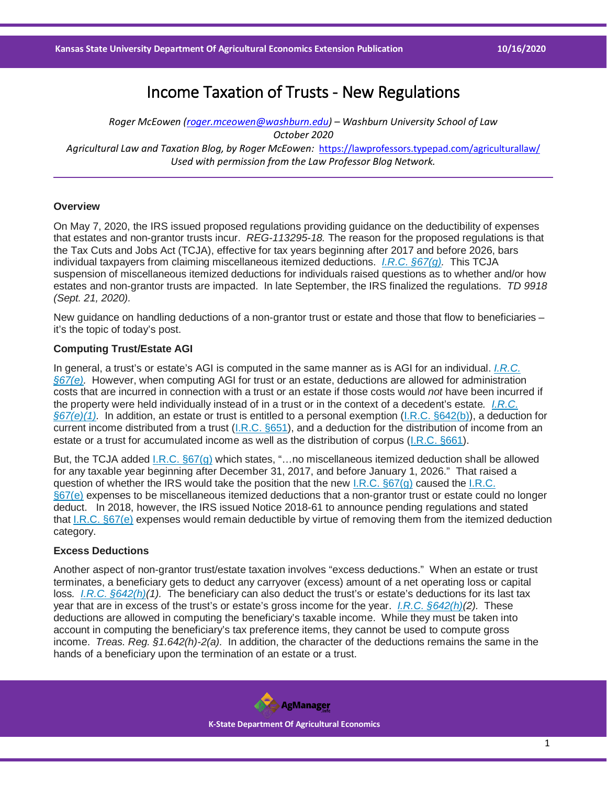# Income Taxation of Trusts - New Regulations

*Roger McEowen [\(roger.mceowen@washburn.edu\)](mailto:roger.mceowen@washburn.edu) – Washburn University School of Law October 2020 Agricultural Law and Taxation Blog, by Roger McEowen:* <https://lawprofessors.typepad.com/agriculturallaw/> *Used with permission from the Law Professor Blog Network.* 

### **Overview**

On May 7, 2020, the IRS issued proposed regulations providing guidance on the deductibility of expenses that estates and non-grantor trusts incur. *REG-113295-18.* The reason for the proposed regulations is that the Tax Cuts and Jobs Act (TCJA), effective for tax years beginning after 2017 and before 2026, bars individual taxpayers from claiming miscellaneous itemized deductions. *[I.R.C. §67\(g\).](https://casetext.com/statute/united-states-code/title-26-internal-revenue-code/subtitle-a-income-taxes/chapter-1-normal-taxes-and-surtaxes/subchapter-b-computation-of-taxable-income/part-i-definition-of-gross-income-adjusted-gross-income-taxable-income-etc/section-67-2-percent-floor-on-miscellaneous-itemized-deductions?ref=ArRBZs!UNqn3K)* This TCJA suspension of miscellaneous itemized deductions for individuals raised questions as to whether and/or how estates and non-grantor trusts are impacted. In late September, the IRS finalized the regulations. *TD 9918 (Sept. 21, 2020).*

New guidance on handling deductions of a non-grantor trust or estate and those that flow to beneficiaries – it's the topic of today's post.

# **Computing Trust/Estate AGI**

In general, a trust's or estate's AGI is computed in the same manner as is AGI for an individual. *[I.R.C.](https://casetext.com/statute/united-states-code/title-26-internal-revenue-code/subtitle-a-income-taxes/chapter-1-normal-taxes-and-surtaxes/subchapter-b-computation-of-taxable-income/part-i-definition-of-gross-income-adjusted-gross-income-taxable-income-etc/section-67-2-percent-floor-on-miscellaneous-itemized-deductions?ref=ArRBZs!UNqn3K)  [§67\(e\).](https://casetext.com/statute/united-states-code/title-26-internal-revenue-code/subtitle-a-income-taxes/chapter-1-normal-taxes-and-surtaxes/subchapter-b-computation-of-taxable-income/part-i-definition-of-gross-income-adjusted-gross-income-taxable-income-etc/section-67-2-percent-floor-on-miscellaneous-itemized-deductions?ref=ArRBZs!UNqn3K)* However, when computing AGI for trust or an estate, deductions are allowed for administration costs that are incurred in connection with a trust or an estate if those costs would *not* have been incurred if the property were held individually instead of in a trust or in the context of a decedent's estate*. [I.R.C.](https://casetext.com/statute/united-states-code/title-26-internal-revenue-code/subtitle-a-income-taxes/chapter-1-normal-taxes-and-surtaxes/subchapter-b-computation-of-taxable-income/part-i-definition-of-gross-income-adjusted-gross-income-taxable-income-etc/section-67-2-percent-floor-on-miscellaneous-itemized-deductions?ref=ArRBZs!UNqn3K)  [§67\(e\)\(1\).](https://casetext.com/statute/united-states-code/title-26-internal-revenue-code/subtitle-a-income-taxes/chapter-1-normal-taxes-and-surtaxes/subchapter-b-computation-of-taxable-income/part-i-definition-of-gross-income-adjusted-gross-income-taxable-income-etc/section-67-2-percent-floor-on-miscellaneous-itemized-deductions?ref=ArRBZs!UNqn3K)* In addition, an estate or trust is entitled to a personal exemption [\(I.R.C. §642\(b\)\)](https://casetext.com/statute/united-states-code/title-26-internal-revenue-code/subtitle-a-income-taxes/chapter-1-normal-taxes-and-surtaxes/subchapter-j-estates-trusts-beneficiaries-and-decedents/part-i-estates-trusts-and-beneficiaries/subpart-a-general-rules-for-taxation-of-estates-and-trusts/section-642-special-rules-for-credits-and-deductions?ref=ArRBZs!NBcIX8), a deduction for current income distributed from a trust [\(I.R.C. §651\)](https://casetext.com/statute/united-states-code/title-26-internal-revenue-code/subtitle-a-income-taxes/chapter-1-normal-taxes-and-surtaxes/subchapter-j-estates-trusts-beneficiaries-and-decedents/part-i-estates-trusts-and-beneficiaries/subpart-b-trusts-which-distribute-current-income-only/section-651-deduction-for-trusts-distributing-current-income-only?ref=ArRBZs!dfTErs), and a deduction for the distribution of income from an estate or a trust for accumulated income as well as the distribution of corpus [\(I.R.C. §661\)](https://casetext.com/statute/united-states-code/title-26-internal-revenue-code/subtitle-a-income-taxes/chapter-1-normal-taxes-and-surtaxes/subchapter-j-estates-trusts-beneficiaries-and-decedents/part-i-estates-trusts-and-beneficiaries/subpart-c-estates-and-trusts-which-may-accumulate-income-or-which-distribute-corpus/section-661-deduction-for-estates-and-trusts-accumulating-income-or-distributing-corpus?ref=ArRBZs!hPze9u).

But, the TCJA added [I.R.C. §67\(g\)](https://casetext.com/statute/united-states-code/title-26-internal-revenue-code/subtitle-a-income-taxes/chapter-1-normal-taxes-and-surtaxes/subchapter-b-computation-of-taxable-income/part-i-definition-of-gross-income-adjusted-gross-income-taxable-income-etc/section-67-2-percent-floor-on-miscellaneous-itemized-deductions?ref=ArRBZs!UNqn3K) which states, "…no miscellaneous itemized deduction shall be allowed for any taxable year beginning after December 31, 2017, and before January 1, 2026." That raised a question of whether the IRS would take the position that the new [I.R.C. §67\(g\)](https://casetext.com/statute/united-states-code/title-26-internal-revenue-code/subtitle-a-income-taxes/chapter-1-normal-taxes-and-surtaxes/subchapter-b-computation-of-taxable-income/part-i-definition-of-gross-income-adjusted-gross-income-taxable-income-etc/section-67-2-percent-floor-on-miscellaneous-itemized-deductions?ref=ArRBZs!UNqn3K) caused the [I.R.C.](https://casetext.com/statute/united-states-code/title-26-internal-revenue-code/subtitle-a-income-taxes/chapter-1-normal-taxes-and-surtaxes/subchapter-b-computation-of-taxable-income/part-i-definition-of-gross-income-adjusted-gross-income-taxable-income-etc/section-67-2-percent-floor-on-miscellaneous-itemized-deductions?ref=ArRBZs!UNqn3K)  [§67\(e\)](https://casetext.com/statute/united-states-code/title-26-internal-revenue-code/subtitle-a-income-taxes/chapter-1-normal-taxes-and-surtaxes/subchapter-b-computation-of-taxable-income/part-i-definition-of-gross-income-adjusted-gross-income-taxable-income-etc/section-67-2-percent-floor-on-miscellaneous-itemized-deductions?ref=ArRBZs!UNqn3K) expenses to be miscellaneous itemized deductions that a non-grantor trust or estate could no longer deduct. In 2018, however, the IRS issued Notice 2018-61 to announce pending regulations and stated that [I.R.C. §67\(e\)](https://casetext.com/statute/united-states-code/title-26-internal-revenue-code/subtitle-a-income-taxes/chapter-1-normal-taxes-and-surtaxes/subchapter-b-computation-of-taxable-income/part-i-definition-of-gross-income-adjusted-gross-income-taxable-income-etc/section-67-2-percent-floor-on-miscellaneous-itemized-deductions?ref=ArRBZs!UNqn3K) expenses would remain deductible by virtue of removing them from the itemized deduction category.

# **Excess Deductions**

Another aspect of non-grantor trust/estate taxation involves "excess deductions." When an estate or trust terminates, a beneficiary gets to deduct any carryover (excess) amount of a net operating loss or capital loss*. [I.R.C. §642\(h\)\(](https://casetext.com/statute/united-states-code/title-26-internal-revenue-code/subtitle-a-income-taxes/chapter-1-normal-taxes-and-surtaxes/subchapter-j-estates-trusts-beneficiaries-and-decedents/part-i-estates-trusts-and-beneficiaries/subpart-a-general-rules-for-taxation-of-estates-and-trusts/section-642-special-rules-for-credits-and-deductions?ref=ArRBZs!NBcIX8)1).* The beneficiary can also deduct the trust's or estate's deductions for its last tax year that are in excess of the trust's or estate's gross income for the year. *[I.R.C. §642\(h\)\(](https://casetext.com/statute/united-states-code/title-26-internal-revenue-code/subtitle-a-income-taxes/chapter-1-normal-taxes-and-surtaxes/subchapter-j-estates-trusts-beneficiaries-and-decedents/part-i-estates-trusts-and-beneficiaries/subpart-a-general-rules-for-taxation-of-estates-and-trusts/section-642-special-rules-for-credits-and-deductions?ref=ArRBZs!NBcIX8)2).* These deductions are allowed in computing the beneficiary's taxable income. While they must be taken into account in computing the beneficiary's tax preference items, they cannot be used to compute gross income. *Treas. Reg. §1.642(h)-2(a).* In addition, the character of the deductions remains the same in the hands of a beneficiary upon the termination of an estate or a trust.

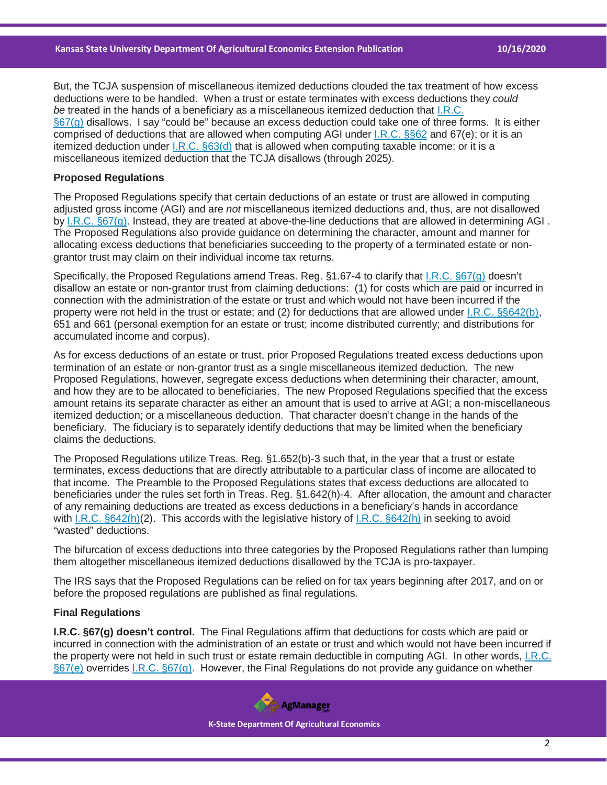But, the TCJA suspension of miscellaneous itemized deductions clouded the tax treatment of how excess deductions were to be handled. When a trust or estate terminates with excess deductions they *could be* treated in the hands of a beneficiary as a miscellaneous itemized deduction that [I.R.C.](https://casetext.com/statute/united-states-code/title-26-internal-revenue-code/subtitle-a-income-taxes/chapter-1-normal-taxes-and-surtaxes/subchapter-b-computation-of-taxable-income/part-i-definition-of-gross-income-adjusted-gross-income-taxable-income-etc/section-67-2-percent-floor-on-miscellaneous-itemized-deductions?ref=ArRBZs!UNqn3K)  [§67\(g\)](https://casetext.com/statute/united-states-code/title-26-internal-revenue-code/subtitle-a-income-taxes/chapter-1-normal-taxes-and-surtaxes/subchapter-b-computation-of-taxable-income/part-i-definition-of-gross-income-adjusted-gross-income-taxable-income-etc/section-67-2-percent-floor-on-miscellaneous-itemized-deductions?ref=ArRBZs!UNqn3K) disallows. I say "could be" because an excess deduction could take one of three forms. It is either comprised of deductions that are allowed when computing AGI under [I.R.C. §§62](https://casetext.com/statute/united-states-code/title-26-internal-revenue-code/subtitle-a-income-taxes/chapter-1-normal-taxes-and-surtaxes/subchapter-b-computation-of-taxable-income/part-i-definition-of-gross-income-adjusted-gross-income-taxable-income-etc/section-62-adjusted-gross-income-defined?ref=ArRBZs!SoNGsN) and 67(e); or it is an itemized deduction under  $I.R.C. §63(d)$  that is allowed when computing taxable income; or it is a miscellaneous itemized deduction that the TCJA disallows (through 2025).

## **Proposed Regulations**

The Proposed Regulations specify that certain deductions of an estate or trust are allowed in computing adjusted gross income (AGI) and are *not* miscellaneous itemized deductions and, thus, are not disallowed by [I.R.C. §67\(g\).](https://casetext.com/statute/united-states-code/title-26-internal-revenue-code/subtitle-a-income-taxes/chapter-1-normal-taxes-and-surtaxes/subchapter-b-computation-of-taxable-income/part-i-definition-of-gross-income-adjusted-gross-income-taxable-income-etc/section-67-2-percent-floor-on-miscellaneous-itemized-deductions?ref=ArRBZs!UNqn3K) Instead, they are treated at above-the-line deductions that are allowed in determining AGI . The Proposed Regulations also provide guidance on determining the character, amount and manner for allocating excess deductions that beneficiaries succeeding to the property of a terminated estate or nongrantor trust may claim on their individual income tax returns.

Specifically, the Proposed Regulations amend Treas. Reg. §1.67-4 to clarify that [I.R.C. §67\(g\)](https://casetext.com/statute/united-states-code/title-26-internal-revenue-code/subtitle-a-income-taxes/chapter-1-normal-taxes-and-surtaxes/subchapter-b-computation-of-taxable-income/part-i-definition-of-gross-income-adjusted-gross-income-taxable-income-etc/section-67-2-percent-floor-on-miscellaneous-itemized-deductions?ref=ArRBZs!UNqn3K) doesn't disallow an estate or non-grantor trust from claiming deductions: (1) for costs which are paid or incurred in connection with the administration of the estate or trust and which would not have been incurred if the property were not held in the trust or estate; and (2) for deductions that are allowed under [I.R.C. §§642\(b\),](https://casetext.com/statute/united-states-code/title-26-internal-revenue-code/subtitle-a-income-taxes/chapter-1-normal-taxes-and-surtaxes/subchapter-j-estates-trusts-beneficiaries-and-decedents/part-i-estates-trusts-and-beneficiaries/subpart-a-general-rules-for-taxation-of-estates-and-trusts/section-642-special-rules-for-credits-and-deductions?ref=ArRBZs!NBcIX8) 651 and 661 (personal exemption for an estate or trust; income distributed currently; and distributions for accumulated income and corpus).

As for excess deductions of an estate or trust, prior Proposed Regulations treated excess deductions upon termination of an estate or non-grantor trust as a single miscellaneous itemized deduction. The new Proposed Regulations, however, segregate excess deductions when determining their character, amount, and how they are to be allocated to beneficiaries. The new Proposed Regulations specified that the excess amount retains its separate character as either an amount that is used to arrive at AGI; a non-miscellaneous itemized deduction; or a miscellaneous deduction. That character doesn't change in the hands of the beneficiary. The fiduciary is to separately identify deductions that may be limited when the beneficiary claims the deductions.

The Proposed Regulations utilize Treas. Reg. §1.652(b)-3 such that, in the year that a trust or estate terminates, excess deductions that are directly attributable to a particular class of income are allocated to that income. The Preamble to the Proposed Regulations states that excess deductions are allocated to beneficiaries under the rules set forth in Treas. Reg. §1.642(h)-4. After allocation, the amount and character of any remaining deductions are treated as excess deductions in a beneficiary's hands in accordance with [I.R.C. §642\(h\)\(](https://casetext.com/statute/united-states-code/title-26-internal-revenue-code/subtitle-a-income-taxes/chapter-1-normal-taxes-and-surtaxes/subchapter-j-estates-trusts-beneficiaries-and-decedents/part-i-estates-trusts-and-beneficiaries/subpart-a-general-rules-for-taxation-of-estates-and-trusts/section-642-special-rules-for-credits-and-deductions?ref=ArRBZs!NBcIX8)2). This accords with the legislative history of [I.R.C. §642\(h\)](https://casetext.com/statute/united-states-code/title-26-internal-revenue-code/subtitle-a-income-taxes/chapter-1-normal-taxes-and-surtaxes/subchapter-j-estates-trusts-beneficiaries-and-decedents/part-i-estates-trusts-and-beneficiaries/subpart-a-general-rules-for-taxation-of-estates-and-trusts/section-642-special-rules-for-credits-and-deductions?ref=ArRBZs!NBcIX8) in seeking to avoid "wasted" deductions.

The bifurcation of excess deductions into three categories by the Proposed Regulations rather than lumping them altogether miscellaneous itemized deductions disallowed by the TCJA is pro-taxpayer.

The IRS says that the Proposed Regulations can be relied on for tax years beginning after 2017, and on or before the proposed regulations are published as final regulations.

#### **Final Regulations**

**I.R.C. §67(g) doesn't control.** The Final Regulations affirm that deductions for costs which are paid or incurred in connection with the administration of an estate or trust and which would not have been incurred if the property were not held in such trust or estate remain deductible in computing AGI. In other words, [I.R.C.](https://casetext.com/statute/united-states-code/title-26-internal-revenue-code/subtitle-a-income-taxes/chapter-1-normal-taxes-and-surtaxes/subchapter-b-computation-of-taxable-income/part-i-definition-of-gross-income-adjusted-gross-income-taxable-income-etc/section-67-2-percent-floor-on-miscellaneous-itemized-deductions?ref=ArRBZs!UNqn3K)  [§67\(e\)](https://casetext.com/statute/united-states-code/title-26-internal-revenue-code/subtitle-a-income-taxes/chapter-1-normal-taxes-and-surtaxes/subchapter-b-computation-of-taxable-income/part-i-definition-of-gross-income-adjusted-gross-income-taxable-income-etc/section-67-2-percent-floor-on-miscellaneous-itemized-deductions?ref=ArRBZs!UNqn3K) overrides [I.R.C. §67\(g\).](https://casetext.com/statute/united-states-code/title-26-internal-revenue-code/subtitle-a-income-taxes/chapter-1-normal-taxes-and-surtaxes/subchapter-b-computation-of-taxable-income/part-i-definition-of-gross-income-adjusted-gross-income-taxable-income-etc/section-67-2-percent-floor-on-miscellaneous-itemized-deductions?ref=ArRBZs!UNqn3K) However, the Final Regulations do not provide any guidance on whether

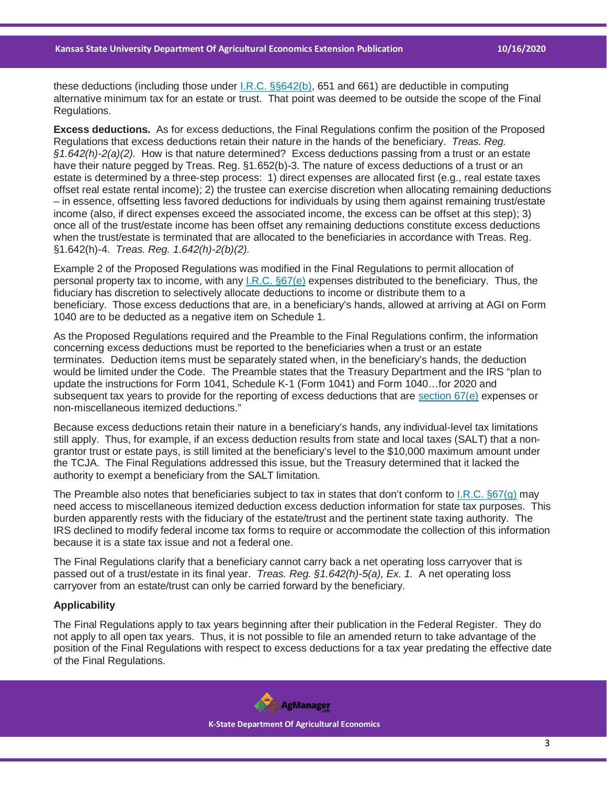these deductions (including those under [I.R.C. §§642\(b\),](https://casetext.com/statute/united-states-code/title-26-internal-revenue-code/subtitle-a-income-taxes/chapter-1-normal-taxes-and-surtaxes/subchapter-j-estates-trusts-beneficiaries-and-decedents/part-i-estates-trusts-and-beneficiaries/subpart-a-general-rules-for-taxation-of-estates-and-trusts/section-642-special-rules-for-credits-and-deductions?ref=ArRBZs!NBcIX8) 651 and 661) are deductible in computing alternative minimum tax for an estate or trust. That point was deemed to be outside the scope of the Final Regulations.

**Excess deductions.** As for excess deductions, the Final Regulations confirm the position of the Proposed Regulations that excess deductions retain their nature in the hands of the beneficiary. *Treas. Reg. §1.642(h)-2(a)(2).* How is that nature determined? Excess deductions passing from a trust or an estate have their nature pegged by Treas. Reg. §1.652(b)-3. The nature of excess deductions of a trust or an estate is determined by a three-step process: 1) direct expenses are allocated first (e.g., real estate taxes offset real estate rental income); 2) the trustee can exercise discretion when allocating remaining deductions – in essence, offsetting less favored deductions for individuals by using them against remaining trust/estate income (also, if direct expenses exceed the associated income, the excess can be offset at this step); 3) once all of the trust/estate income has been offset any remaining deductions constitute excess deductions when the trust/estate is terminated that are allocated to the beneficiaries in accordance with Treas. Reg. §1.642(h)-4. *Treas. Reg. 1.642(h)-2(b)(2).*

Example 2 of the Proposed Regulations was modified in the Final Regulations to permit allocation of personal property tax to income, with any [I.R.C. §67\(e\)](https://casetext.com/statute/united-states-code/title-26-internal-revenue-code/subtitle-a-income-taxes/chapter-1-normal-taxes-and-surtaxes/subchapter-b-computation-of-taxable-income/part-i-definition-of-gross-income-adjusted-gross-income-taxable-income-etc/section-67-2-percent-floor-on-miscellaneous-itemized-deductions?ref=ArRBZs!UNqn3K) expenses distributed to the beneficiary. Thus, the fiduciary has discretion to selectively allocate deductions to income or distribute them to a beneficiary. Those excess deductions that are, in a beneficiary's hands, allowed at arriving at AGI on Form 1040 are to be deducted as a negative item on Schedule 1.

As the Proposed Regulations required and the Preamble to the Final Regulations confirm, the information concerning excess deductions must be reported to the beneficiaries when a trust or an estate terminates. Deduction items must be separately stated when, in the beneficiary's hands, the deduction would be limited under the Code. The Preamble states that the Treasury Department and the IRS "plan to update the instructions for Form 1041, Schedule K-1 (Form 1041) and Form 1040…for 2020 and subsequent tax years to provide for the reporting of excess deductions that are [section 67\(e\)](https://casetext.com/statute/united-states-code/title-26-internal-revenue-code/subtitle-a-income-taxes/chapter-1-normal-taxes-and-surtaxes/subchapter-b-computation-of-taxable-income/part-i-definition-of-gross-income-adjusted-gross-income-taxable-income-etc/section-67-2-percent-floor-on-miscellaneous-itemized-deductions?ref=ArRBZs!UNqn3K) expenses or non-miscellaneous itemized deductions."

Because excess deductions retain their nature in a beneficiary's hands, any individual-level tax limitations still apply. Thus, for example, if an excess deduction results from state and local taxes (SALT) that a nongrantor trust or estate pays, is still limited at the beneficiary's level to the \$10,000 maximum amount under the TCJA. The Final Regulations addressed this issue, but the Treasury determined that it lacked the authority to exempt a beneficiary from the SALT limitation.

The Preamble also notes that beneficiaries subject to tax in states that don't conform to [I.R.C. §67\(g\)](https://casetext.com/statute/united-states-code/title-26-internal-revenue-code/subtitle-a-income-taxes/chapter-1-normal-taxes-and-surtaxes/subchapter-b-computation-of-taxable-income/part-i-definition-of-gross-income-adjusted-gross-income-taxable-income-etc/section-67-2-percent-floor-on-miscellaneous-itemized-deductions?ref=ArRBZs!UNqn3K) may need access to miscellaneous itemized deduction excess deduction information for state tax purposes. This burden apparently rests with the fiduciary of the estate/trust and the pertinent state taxing authority. The IRS declined to modify federal income tax forms to require or accommodate the collection of this information because it is a state tax issue and not a federal one.

The Final Regulations clarify that a beneficiary cannot carry back a net operating loss carryover that is passed out of a trust/estate in its final year. *Treas. Reg. §1.642(h)-5(a), Ex. 1.* A net operating loss carryover from an estate/trust can only be carried forward by the beneficiary.

## **Applicability**

The Final Regulations apply to tax years beginning after their publication in the Federal Register. They do not apply to all open tax years. Thus, it is not possible to file an amended return to take advantage of the position of the Final Regulations with respect to excess deductions for a tax year predating the effective date of the Final Regulations.